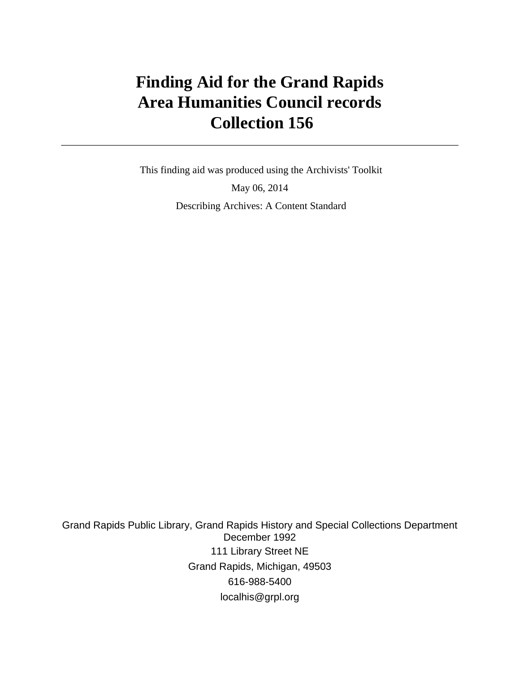# **Finding Aid for the Grand Rapids Area Humanities Council records Collection 156**

 This finding aid was produced using the Archivists' Toolkit May 06, 2014 Describing Archives: A Content Standard

Grand Rapids Public Library, Grand Rapids History and Special Collections Department December 1992 111 Library Street NE Grand Rapids, Michigan, 49503 616-988-5400 localhis@grpl.org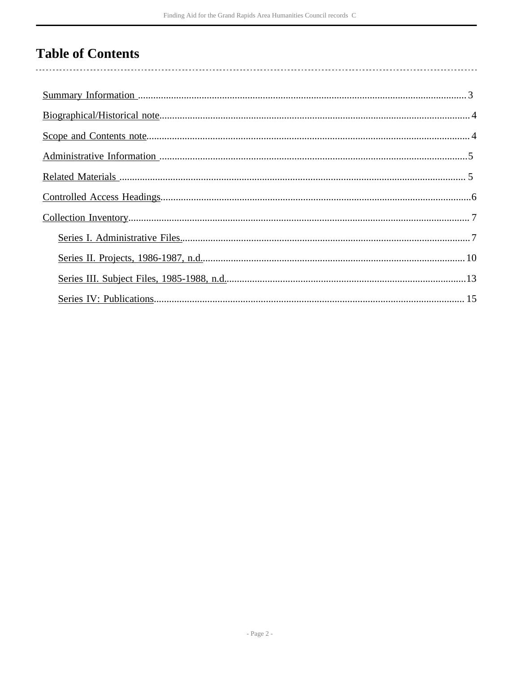# **Table of Contents**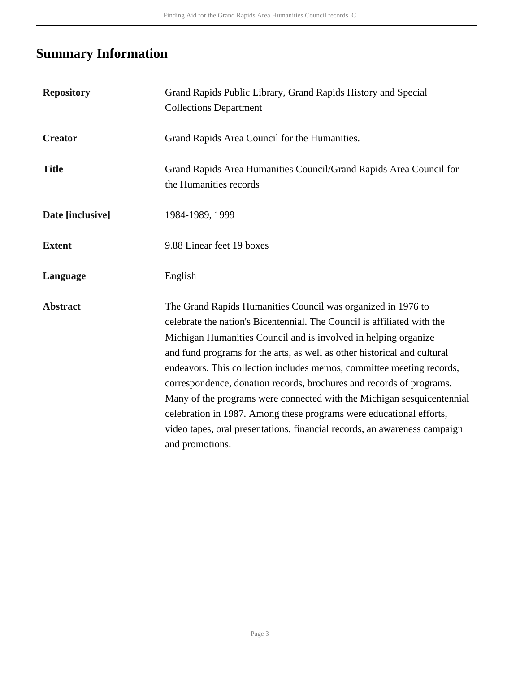# <span id="page-2-0"></span>**Summary Information**

| <b>Repository</b> | Grand Rapids Public Library, Grand Rapids History and Special<br><b>Collections Department</b>                                                                                                                                                                                                                                                                                                                                                                                                                                                                                                                                                                                           |
|-------------------|------------------------------------------------------------------------------------------------------------------------------------------------------------------------------------------------------------------------------------------------------------------------------------------------------------------------------------------------------------------------------------------------------------------------------------------------------------------------------------------------------------------------------------------------------------------------------------------------------------------------------------------------------------------------------------------|
| <b>Creator</b>    | Grand Rapids Area Council for the Humanities.                                                                                                                                                                                                                                                                                                                                                                                                                                                                                                                                                                                                                                            |
| <b>Title</b>      | Grand Rapids Area Humanities Council/Grand Rapids Area Council for<br>the Humanities records                                                                                                                                                                                                                                                                                                                                                                                                                                                                                                                                                                                             |
| Date [inclusive]  | 1984-1989, 1999                                                                                                                                                                                                                                                                                                                                                                                                                                                                                                                                                                                                                                                                          |
| <b>Extent</b>     | 9.88 Linear feet 19 boxes                                                                                                                                                                                                                                                                                                                                                                                                                                                                                                                                                                                                                                                                |
| Language          | English                                                                                                                                                                                                                                                                                                                                                                                                                                                                                                                                                                                                                                                                                  |
| <b>Abstract</b>   | The Grand Rapids Humanities Council was organized in 1976 to<br>celebrate the nation's Bicentennial. The Council is affiliated with the<br>Michigan Humanities Council and is involved in helping organize<br>and fund programs for the arts, as well as other historical and cultural<br>endeavors. This collection includes memos, committee meeting records,<br>correspondence, donation records, brochures and records of programs.<br>Many of the programs were connected with the Michigan sesquicentennial<br>celebration in 1987. Among these programs were educational efforts,<br>video tapes, oral presentations, financial records, an awareness campaign<br>and promotions. |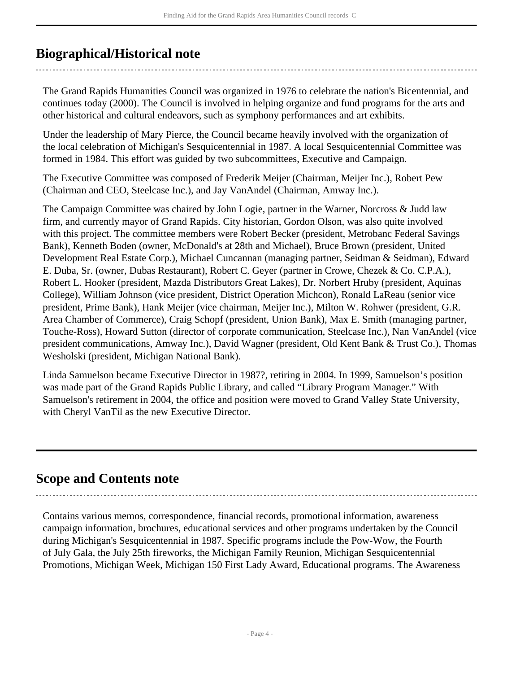### <span id="page-3-0"></span>**Biographical/Historical note**

The Grand Rapids Humanities Council was organized in 1976 to celebrate the nation's Bicentennial, and continues today (2000). The Council is involved in helping organize and fund programs for the arts and other historical and cultural endeavors, such as symphony performances and art exhibits.

Under the leadership of Mary Pierce, the Council became heavily involved with the organization of the local celebration of Michigan's Sesquicentennial in 1987. A local Sesquicentennial Committee was formed in 1984. This effort was guided by two subcommittees, Executive and Campaign.

The Executive Committee was composed of Frederik Meijer (Chairman, Meijer Inc.), Robert Pew (Chairman and CEO, Steelcase Inc.), and Jay VanAndel (Chairman, Amway Inc.).

The Campaign Committee was chaired by John Logie, partner in the Warner, Norcross & Judd law firm, and currently mayor of Grand Rapids. City historian, Gordon Olson, was also quite involved with this project. The committee members were Robert Becker (president, Metrobanc Federal Savings Bank), Kenneth Boden (owner, McDonald's at 28th and Michael), Bruce Brown (president, United Development Real Estate Corp.), Michael Cuncannan (managing partner, Seidman & Seidman), Edward E. Duba, Sr. (owner, Dubas Restaurant), Robert C. Geyer (partner in Crowe, Chezek & Co. C.P.A.), Robert L. Hooker (president, Mazda Distributors Great Lakes), Dr. Norbert Hruby (president, Aquinas College), William Johnson (vice president, District Operation Michcon), Ronald LaReau (senior vice president, Prime Bank), Hank Meijer (vice chairman, Meijer Inc.), Milton W. Rohwer (president, G.R. Area Chamber of Commerce), Craig Schopf (president, Union Bank), Max E. Smith (managing partner, Touche-Ross), Howard Sutton (director of corporate communication, Steelcase Inc.), Nan VanAndel (vice president communications, Amway Inc.), David Wagner (president, Old Kent Bank & Trust Co.), Thomas Wesholski (president, Michigan National Bank).

Linda Samuelson became Executive Director in 1987?, retiring in 2004. In 1999, Samuelson's position was made part of the Grand Rapids Public Library, and called "Library Program Manager." With Samuelson's retirement in 2004, the office and position were moved to Grand Valley State University, with Cheryl VanTil as the new Executive Director.

### <span id="page-3-1"></span>**Scope and Contents note**

Contains various memos, correspondence, financial records, promotional information, awareness campaign information, brochures, educational services and other programs undertaken by the Council during Michigan's Sesquicentennial in 1987. Specific programs include the Pow-Wow, the Fourth of July Gala, the July 25th fireworks, the Michigan Family Reunion, Michigan Sesquicentennial Promotions, Michigan Week, Michigan 150 First Lady Award, Educational programs. The Awareness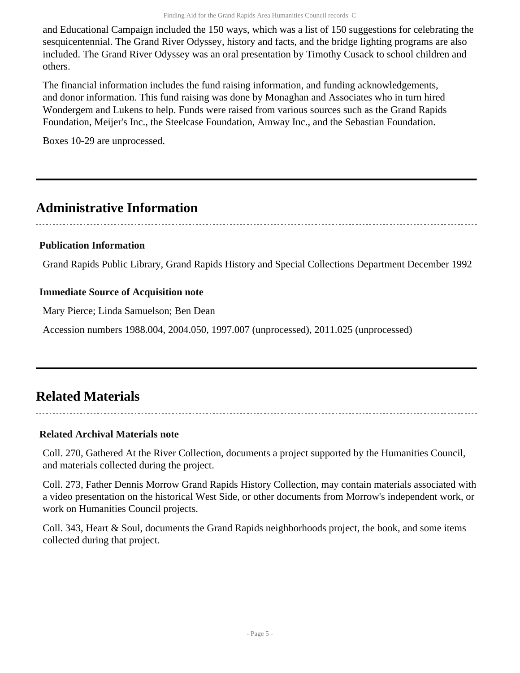and Educational Campaign included the 150 ways, which was a list of 150 suggestions for celebrating the sesquicentennial. The Grand River Odyssey, history and facts, and the bridge lighting programs are also included. The Grand River Odyssey was an oral presentation by Timothy Cusack to school children and others.

The financial information includes the fund raising information, and funding acknowledgements, and donor information. This fund raising was done by Monaghan and Associates who in turn hired Wondergem and Lukens to help. Funds were raised from various sources such as the Grand Rapids Foundation, Meijer's Inc., the Steelcase Foundation, Amway Inc., and the Sebastian Foundation.

Boxes 10-29 are unprocessed.

## <span id="page-4-0"></span>**Administrative Information**

#### **Publication Information**

Grand Rapids Public Library, Grand Rapids History and Special Collections Department December 1992

#### **Immediate Source of Acquisition note**

Mary Pierce; Linda Samuelson; Ben Dean

Accession numbers 1988.004, 2004.050, 1997.007 (unprocessed), 2011.025 (unprocessed)

## <span id="page-4-1"></span>**Related Materials**

#### **Related Archival Materials note**

Coll. 270, Gathered At the River Collection, documents a project supported by the Humanities Council, and materials collected during the project.

Coll. 273, Father Dennis Morrow Grand Rapids History Collection, may contain materials associated with a video presentation on the historical West Side, or other documents from Morrow's independent work, or work on Humanities Council projects.

Coll. 343, Heart & Soul, documents the Grand Rapids neighborhoods project, the book, and some items collected during that project.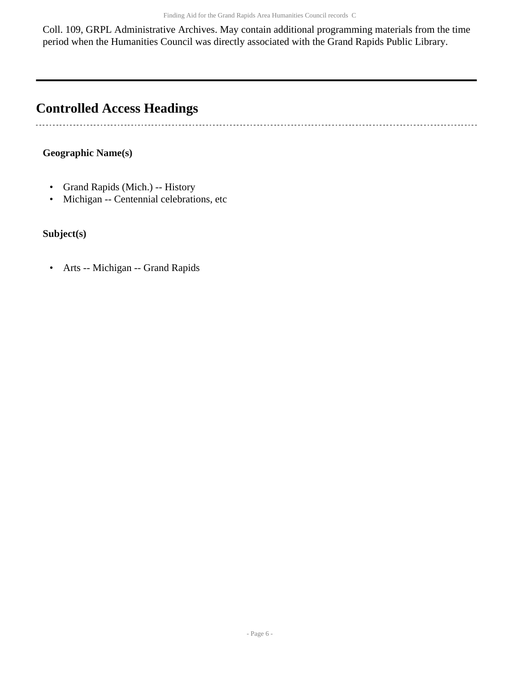Coll. 109, GRPL Administrative Archives. May contain additional programming materials from the time period when the Humanities Council was directly associated with the Grand Rapids Public Library.

# <span id="page-5-0"></span>**Controlled Access Headings**

#### **Geographic Name(s)**

- Grand Rapids (Mich.) -- History
- Michigan -- Centennial celebrations, etc

#### **Subject(s)**

 $\ddot{\phantom{0}}$ 

• Arts -- Michigan -- Grand Rapids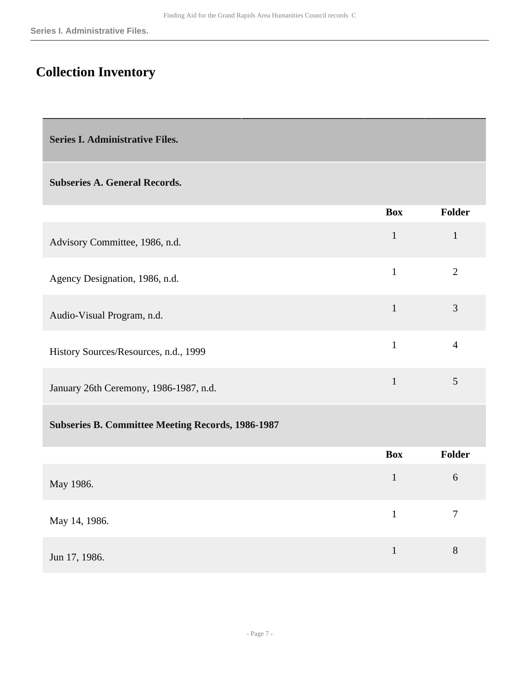## <span id="page-6-0"></span>**Collection Inventory**

<span id="page-6-1"></span>**Series I. Administrative Files.** 

#### **Subseries A. General Records.**

|                                                          | <b>Box</b>                          | <b>Folder</b>  |
|----------------------------------------------------------|-------------------------------------|----------------|
| Advisory Committee, 1986, n.d.                           | $\mathbf{1}$                        | $\mathbf{1}$   |
| Agency Designation, 1986, n.d.                           | $\mathbf{1}$                        | $\overline{2}$ |
| Audio-Visual Program, n.d.                               | $\mathbf{1}$                        | 3              |
| History Sources/Resources, n.d., 1999                    | $\mathbf{1}$                        | $\overline{4}$ |
| January 26th Ceremony, 1986-1987, n.d.                   | $\mathbf{1}$                        | 5              |
| <b>Subseries B. Committee Meeting Records, 1986-1987</b> |                                     |                |
|                                                          | $\mathbf{R}_{\mathbf{A}\mathbf{v}}$ | Foldor         |

|               | Box | Folder |
|---------------|-----|--------|
| May 1986.     | 1   | 6      |
| May 14, 1986. |     | 7      |
| Jun 17, 1986. |     | 8      |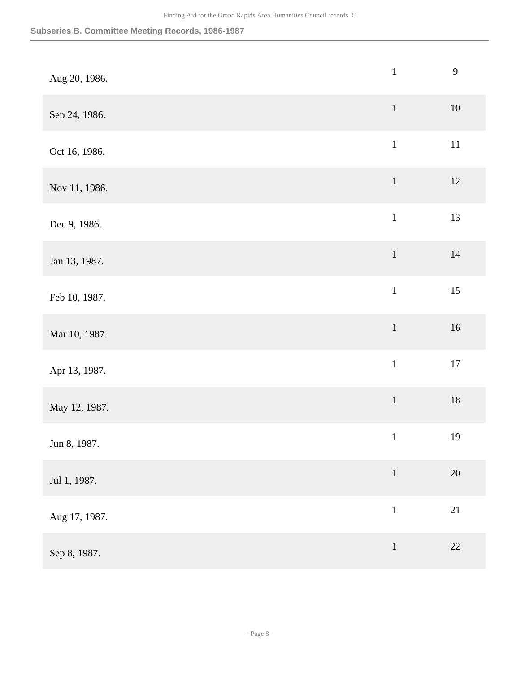| Aug 20, 1986. | $\mathbf{1}$                                          | 9      |
|---------------|-------------------------------------------------------|--------|
| Sep 24, 1986. | $1\,$                                                 | $10\,$ |
| Oct 16, 1986. | $\mathbf{1}$                                          | $11\,$ |
| Nov 11, 1986. | $\,1\,$                                               | $12\,$ |
| Dec 9, 1986.  | $\mathbf{1}$                                          | 13     |
| Jan 13, 1987. | $\mathbf 1$                                           | $14\,$ |
| Feb 10, 1987. | $\mathbf{1}$                                          | 15     |
| Mar 10, 1987. | $\,1\,$                                               | 16     |
| Apr 13, 1987. | $\mathbf 1$                                           | $17\,$ |
| May 12, 1987. | $1\,$                                                 | $18\,$ |
| Jun 8, 1987.  | $\mathbf{1}$                                          | 19     |
| Jul 1, 1987.  | $\,1\,$                                               | $20\,$ |
| Aug 17, 1987. | $\mathbf{1}% ^{T}=\mathbf{1}_{T}\times\mathbf{1}_{T}$ | 21     |
| Sep 8, 1987.  | $\mathbf{1}$                                          | $22\,$ |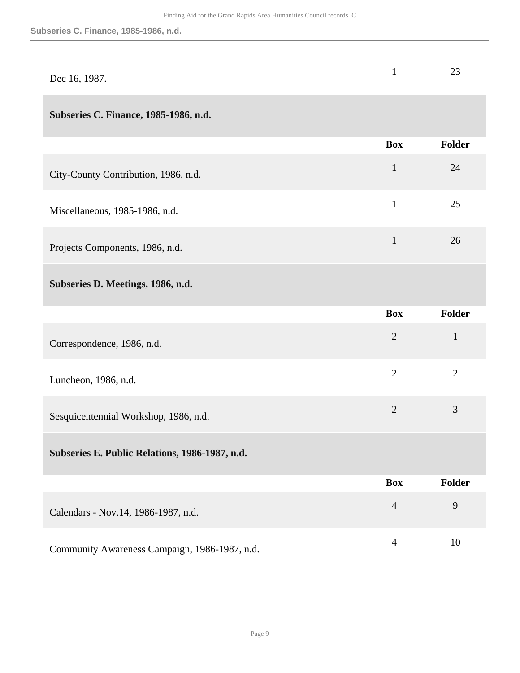| Dec 16, 1987. | 23 |
|---------------|----|
|               |    |

#### **Subseries C. Finance, 1985-1986, n.d.**

|                                      | <b>Box</b> | <b>Folder</b> |
|--------------------------------------|------------|---------------|
| City-County Contribution, 1986, n.d. | 1          | 24            |
| Miscellaneous, 1985-1986, n.d.       | 1          | 25            |
| Projects Components, 1986, n.d.      |            | 26            |

#### **Subseries D. Meetings, 1986, n.d.**

|                                                | <b>Box</b>     | Folder        |
|------------------------------------------------|----------------|---------------|
| Correspondence, 1986, n.d.                     | $\overline{2}$ | $\mathbf{1}$  |
| Luncheon, 1986, n.d.                           | $\overline{2}$ | 2             |
| Sesquicentennial Workshop, 1986, n.d.          | $\overline{2}$ | 3             |
| Subseries E. Public Relations, 1986-1987, n.d. |                |               |
|                                                | <b>Box</b>     | <b>Folder</b> |
| Calendars - Nov.14, 1986-1987, n.d.            | $\overline{4}$ | 9             |

Community Awareness Campaign, 1986-1987, n.d. 4 10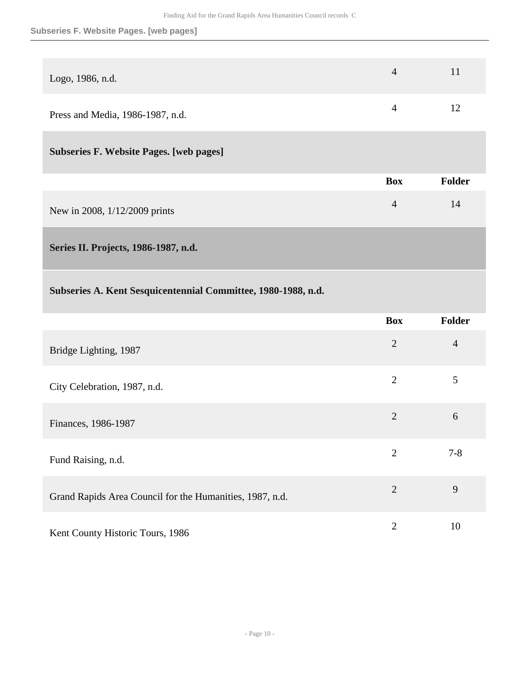#### **Subseries F. Website Pages. [web pages]**

| Logo, 1986, n.d.                 | $\Delta$ | 11 |
|----------------------------------|----------|----|
| Press and Media, 1986-1987, n.d. |          | 12 |

#### **Subseries F. Website Pages. [web pages]**

|                               | <b>Box</b> | <b>Folder</b> |
|-------------------------------|------------|---------------|
| New in 2008, 1/12/2009 prints |            | 14            |

<span id="page-9-0"></span>**Series II. Projects, 1986-1987, n.d.** 

### **Subseries A. Kent Sesquicentennial Committee, 1980-1988, n.d.**

|                                                          | <b>Box</b>     | <b>Folder</b>  |
|----------------------------------------------------------|----------------|----------------|
| Bridge Lighting, 1987                                    | $\overline{2}$ | $\overline{4}$ |
| City Celebration, 1987, n.d.                             | $\overline{2}$ | 5              |
| Finances, 1986-1987                                      | $\overline{2}$ | 6              |
| Fund Raising, n.d.                                       | $\overline{2}$ | $7 - 8$        |
| Grand Rapids Area Council for the Humanities, 1987, n.d. | $\overline{2}$ | 9              |
| Kent County Historic Tours, 1986                         | $\overline{2}$ | 10             |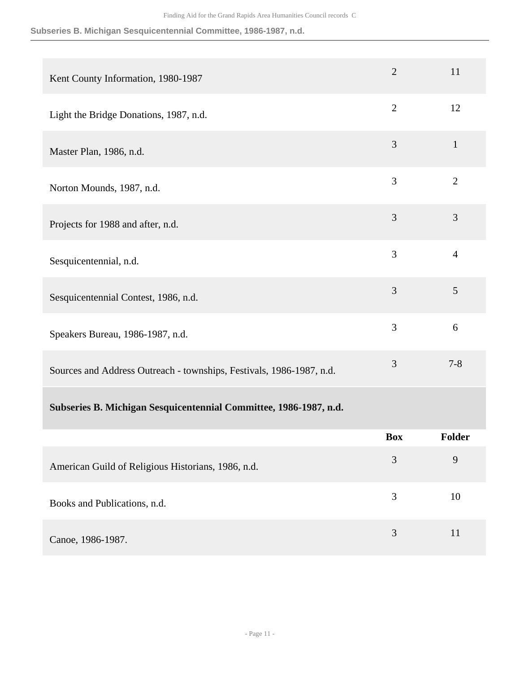#### **Subseries B. Michigan Sesquicentennial Committee, 1986-1987, n.d.**

| Kent County Information, 1980-1987                                   | $\overline{2}$ | 11             |
|----------------------------------------------------------------------|----------------|----------------|
| Light the Bridge Donations, 1987, n.d.                               | $\overline{2}$ | 12             |
| Master Plan, 1986, n.d.                                              | 3              | $\mathbf{1}$   |
| Norton Mounds, 1987, n.d.                                            | 3              | $\overline{2}$ |
| Projects for 1988 and after, n.d.                                    | 3              | 3              |
| Sesquicentennial, n.d.                                               | $\overline{3}$ | $\overline{4}$ |
| Sesquicentennial Contest, 1986, n.d.                                 | 3              | 5              |
| Speakers Bureau, 1986-1987, n.d.                                     | 3              | 6              |
| Sources and Address Outreach - townships, Festivals, 1986-1987, n.d. | 3              | $7 - 8$        |
| Subseries B. Michigan Sesquicentennial Committee, 1986-1987, n.d.    |                |                |
|                                                                      | <b>Box</b>     | <b>Folder</b>  |
| American Guild of Religious Historians, 1986, n.d.                   | 3              | 9              |
| Books and Publications, n.d.                                         | 3              | 10             |
| Canoe, 1986-1987.                                                    | $\mathfrak{Z}$ | 11             |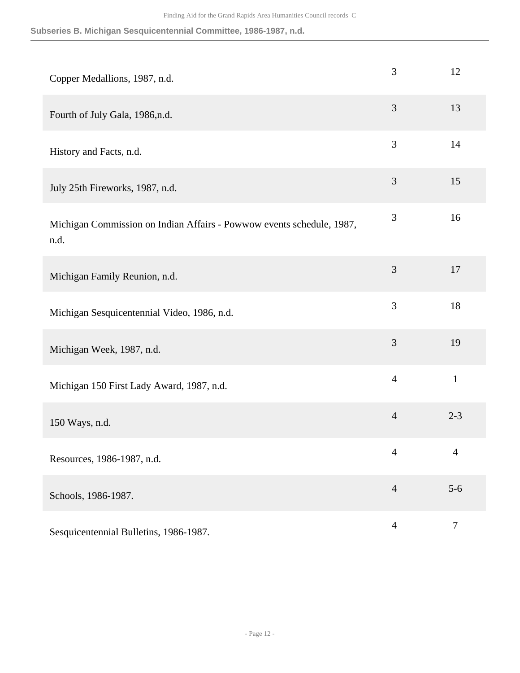**Subseries B. Michigan Sesquicentennial Committee, 1986-1987, n.d.**

| Copper Medallions, 1987, n.d.                                                 | 3              | 12             |
|-------------------------------------------------------------------------------|----------------|----------------|
| Fourth of July Gala, 1986,n.d.                                                | 3              | 13             |
| History and Facts, n.d.                                                       | 3              | 14             |
| July 25th Fireworks, 1987, n.d.                                               | 3              | 15             |
| Michigan Commission on Indian Affairs - Powwow events schedule, 1987,<br>n.d. | $\mathfrak{Z}$ | 16             |
| Michigan Family Reunion, n.d.                                                 | 3              | 17             |
| Michigan Sesquicentennial Video, 1986, n.d.                                   | 3              | 18             |
| Michigan Week, 1987, n.d.                                                     | $\mathfrak{Z}$ | 19             |
| Michigan 150 First Lady Award, 1987, n.d.                                     | $\overline{4}$ | $\mathbf{1}$   |
| 150 Ways, n.d.                                                                | $\overline{4}$ | $2 - 3$        |
| Resources, 1986-1987, n.d.                                                    | $\overline{4}$ | $\overline{4}$ |
| Schools, 1986-1987.                                                           | $\overline{4}$ | $5-6$          |
| Sesquicentennial Bulletins, 1986-1987.                                        | $\overline{4}$ | $\tau$         |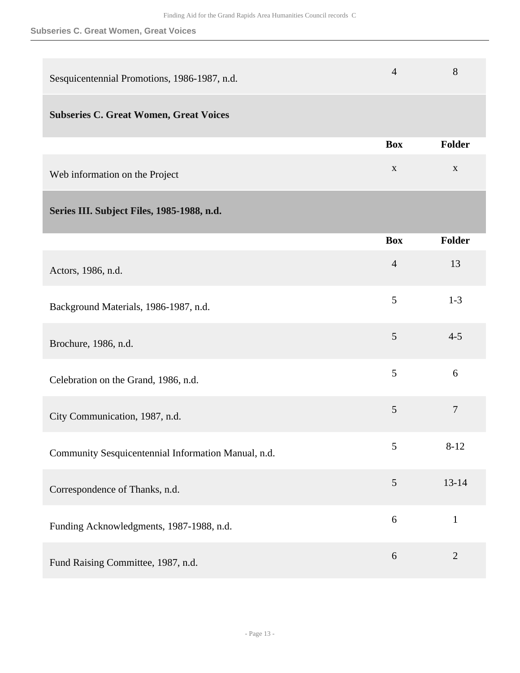#### **Subseries C. Great Women, Great Voices**

<span id="page-12-0"></span>

| Sesquicentennial Promotions, 1986-1987, n.d.        | $\overline{4}$ | 8              |
|-----------------------------------------------------|----------------|----------------|
| <b>Subseries C. Great Women, Great Voices</b>       |                |                |
|                                                     | <b>Box</b>     | <b>Folder</b>  |
| Web information on the Project                      | $\mathbf X$    | $\mathbf X$    |
| Series III. Subject Files, 1985-1988, n.d.          |                |                |
|                                                     | <b>Box</b>     | Folder         |
| Actors, 1986, n.d.                                  | $\overline{4}$ | 13             |
| Background Materials, 1986-1987, n.d.               | 5              | $1 - 3$        |
| Brochure, 1986, n.d.                                | 5              | $4 - 5$        |
| Celebration on the Grand, 1986, n.d.                | 5              | 6              |
| City Communication, 1987, n.d.                      | $\mathfrak{S}$ | $\overline{7}$ |
| Community Sesquicentennial Information Manual, n.d. | 5              | $8 - 12$       |
| Correspondence of Thanks, n.d.                      | $\mathfrak{S}$ | $13 - 14$      |
| Funding Acknowledgments, 1987-1988, n.d.            | 6              | $\mathbf{1}$   |
| Fund Raising Committee, 1987, n.d.                  | 6              | $\overline{2}$ |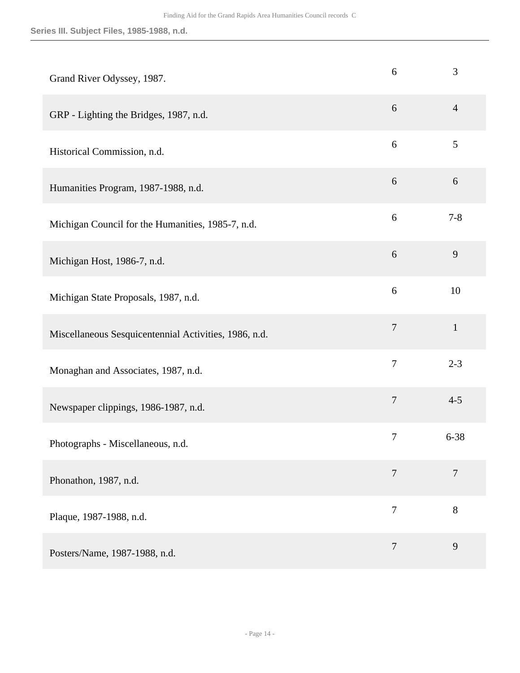**Series III. Subject Files, 1985-1988, n.d.**

| Grand River Odyssey, 1987.                            | 6              | 3              |
|-------------------------------------------------------|----------------|----------------|
| GRP - Lighting the Bridges, 1987, n.d.                | 6              | $\overline{4}$ |
| Historical Commission, n.d.                           | 6              | 5              |
| Humanities Program, 1987-1988, n.d.                   | 6              | 6              |
| Michigan Council for the Humanities, 1985-7, n.d.     | 6              | $7 - 8$        |
| Michigan Host, 1986-7, n.d.                           | 6              | 9              |
| Michigan State Proposals, 1987, n.d.                  | 6              | 10             |
| Miscellaneous Sesquicentennial Activities, 1986, n.d. | $\overline{7}$ | $\mathbf{1}$   |
| Monaghan and Associates, 1987, n.d.                   | $\overline{7}$ | $2 - 3$        |
| Newspaper clippings, 1986-1987, n.d.                  | 7              | $4 - 5$        |
| Photographs - Miscellaneous, n.d.                     | 7              | $6 - 38$       |
| Phonathon, 1987, n.d.                                 | $\overline{7}$ | $\overline{7}$ |
| Plaque, 1987-1988, n.d.                               | $\overline{7}$ | 8              |
| Posters/Name, 1987-1988, n.d.                         | $\overline{7}$ | 9              |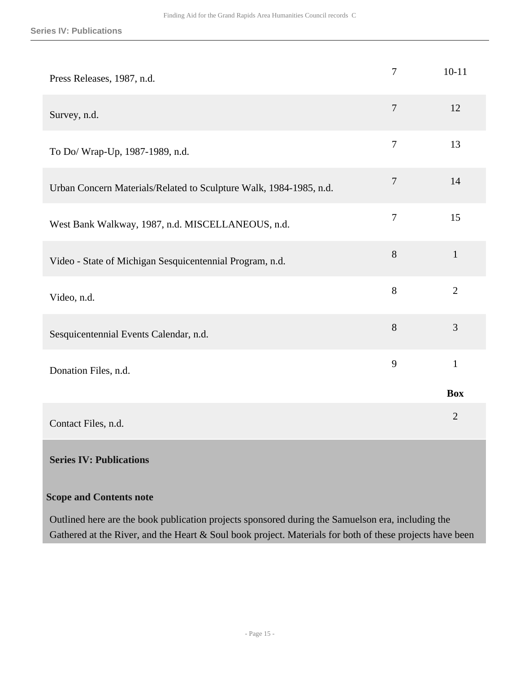| Press Releases, 1987, n.d.                                         | $\overline{7}$ | $10 - 11$      |
|--------------------------------------------------------------------|----------------|----------------|
| Survey, n.d.                                                       | $\overline{7}$ | 12             |
| To Do/ Wrap-Up, 1987-1989, n.d.                                    | $\overline{7}$ | 13             |
| Urban Concern Materials/Related to Sculpture Walk, 1984-1985, n.d. | $\overline{7}$ | 14             |
| West Bank Walkway, 1987, n.d. MISCELLANEOUS, n.d.                  | $\overline{7}$ | 15             |
| Video - State of Michigan Sesquicentennial Program, n.d.           | $8\,$          | $\mathbf{1}$   |
| Video, n.d.                                                        | $8\,$          | $\overline{2}$ |
| Sesquicentennial Events Calendar, n.d.                             | 8              | 3              |
| Donation Files, n.d.                                               | 9              | $\mathbf{1}$   |
|                                                                    |                | <b>Box</b>     |
| Contact Files, n.d.                                                |                | $\overline{2}$ |
| <b>Series IV: Publications</b>                                     |                |                |
| <b>Scope and Contents note</b>                                     |                |                |

<span id="page-14-0"></span>Outlined here are the book publication projects sponsored during the Samuelson era, including the Gathered at the River, and the Heart & Soul book project. Materials for both of these projects have been